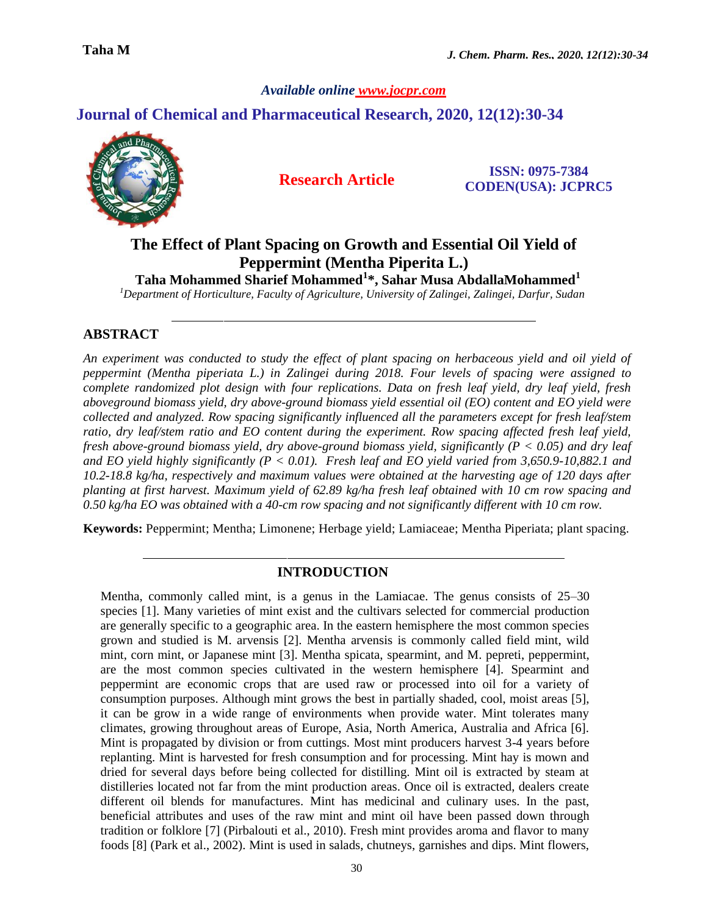*Available online www.jocpr.com*

## **Journal of Chemical and Pharmaceutical Research, 2020, 12(12):30-34**



 **Research Article ISSN: 0975-7384 CODEN(USA): JCPRC5**

# **The Effect of Plant Spacing on Growth and Essential Oil Yield of Peppermint (Mentha Piperita L.)**

 **Taha Mohammed Sharief Mohammed<sup>1</sup> \*, Sahar Musa AbdallaMohammed<sup>1</sup>**

*<sup>1</sup>Department of Horticulture, Faculty of Agriculture, University of Zalingei, Zalingei, Darfur, Sudan*

## **ABSTRACT**

*An experiment was conducted to study the effect of plant spacing on herbaceous yield and oil yield of peppermint (Mentha piperiata L.) in Zalingei during 2018. Four levels of spacing were assigned to complete randomized plot design with four replications. Data on fresh leaf yield, dry leaf yield, fresh aboveground biomass yield, dry above-ground biomass yield essential oil (EO) content and EO yield were collected and analyzed. Row spacing significantly influenced all the parameters except for fresh leaf/stem ratio, dry leaf/stem ratio and EO content during the experiment. Row spacing affected fresh leaf yield, fresh above-ground biomass yield, dry above-ground biomass yield, significantly (P < 0.05) and dry leaf and EO yield highly significantly (P < 0.01). Fresh leaf and EO yield varied from 3,650.9-10,882.1 and 10.2-18.8 kg/ha, respectively and maximum values were obtained at the harvesting age of 120 days after planting at first harvest. Maximum yield of 62.89 kg/ha fresh leaf obtained with 10 cm row spacing and 0.50 kg/ha EO was obtained with a 40-cm row spacing and not significantly different with 10 cm row.*

**Keywords:** Peppermint; Mentha; Limonene; Herbage yield; Lamiaceae; Mentha Piperiata; plant spacing.

#### **INTRODUCTION**

Mentha, commonly called mint, is a genus in the Lamiacae. The genus consists of 25–30 species [1]. Many varieties of mint exist and the cultivars selected for commercial production are generally specific to a geographic area. In the eastern hemisphere the most common species grown and studied is M. arvensis [2]. Mentha arvensis is commonly called field mint, wild mint, corn mint, or Japanese mint [3]. Mentha spicata, spearmint, and M. pepreti, peppermint, are the most common species cultivated in the western hemisphere [4]. Spearmint and peppermint are economic crops that are used raw or processed into oil for a variety of consumption purposes. Although mint grows the best in partially shaded, cool, moist areas [5], it can be grow in a wide range of environments when provide water. Mint tolerates many climates, growing throughout areas of Europe, Asia, North America, Australia and Africa [6]. Mint is propagated by division or from cuttings. Most mint producers harvest 3-4 years before replanting. Mint is harvested for fresh consumption and for processing. Mint hay is mown and dried for several days before being collected for distilling. Mint oil is extracted by steam at distilleries located not far from the mint production areas. Once oil is extracted, dealers create different oil blends for manufactures. Mint has medicinal and culinary uses. In the past, beneficial attributes and uses of the raw mint and mint oil have been passed down through tradition or folklore [7] (Pirbalouti et al., 2010). Fresh mint provides aroma and flavor to many foods [8] (Park et al., 2002). Mint is used in salads, chutneys, garnishes and dips. Mint flowers,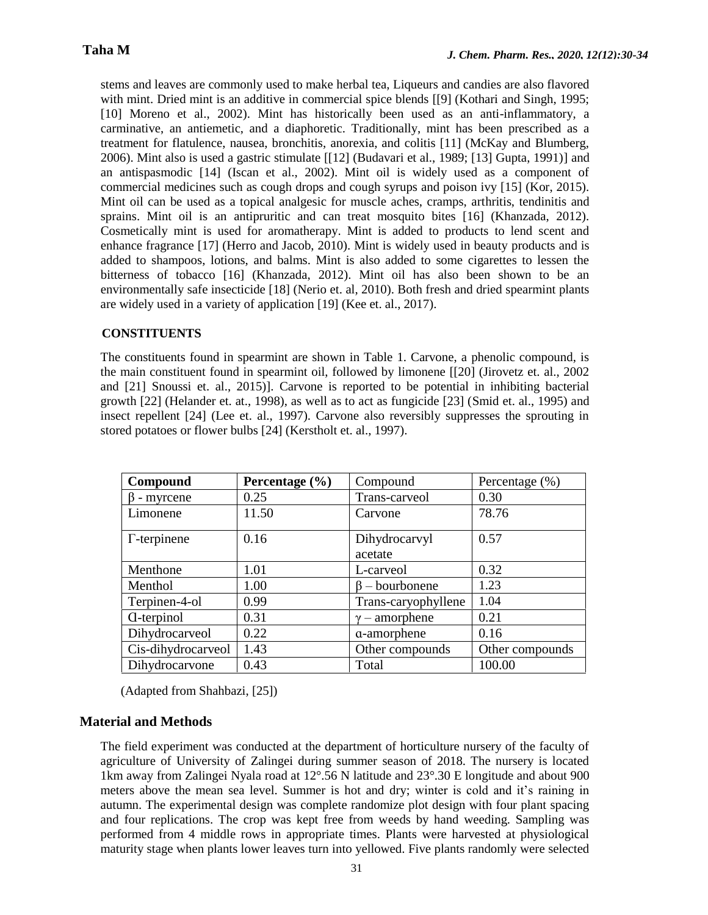stems and leaves are commonly used to make herbal tea, Liqueurs and candies are also flavored with mint. Dried mint is an additive in commercial spice blends [[9] (Kothari and Singh, 1995; [10] Moreno et al., 2002). Mint has historically been used as an anti-inflammatory, a carminative, an antiemetic, and a diaphoretic. Traditionally, mint has been prescribed as a treatment for flatulence, nausea, bronchitis, anorexia, and colitis [11] (McKay and Blumberg, 2006). Mint also is used a gastric stimulate [[12] (Budavari et al., 1989; [13] Gupta, 1991)] and an antispasmodic [14] (Iscan et al., 2002). Mint oil is widely used as a component of commercial medicines such as cough drops and cough syrups and poison ivy [15] (Kor, 2015). Mint oil can be used as a topical analgesic for muscle aches, cramps, arthritis, tendinitis and sprains. Mint oil is an antipruritic and can treat mosquito bites [16] (Khanzada, 2012). Cosmetically mint is used for aromatherapy. Mint is added to products to lend scent and enhance fragrance [17] (Herro and Jacob, 2010). Mint is widely used in beauty products and is added to shampoos, lotions, and balms. Mint is also added to some cigarettes to lessen the bitterness of tobacco [16] (Khanzada, 2012). Mint oil has also been shown to be an environmentally safe insecticide [18] (Nerio et. al, 2010). Both fresh and dried spearmint plants are widely used in a variety of application [19] (Kee et. al., 2017).

#### **CONSTITUENTS**

The constituents found in spearmint are shown in Table 1. Carvone, a phenolic compound, is the main constituent found in spearmint oil, followed by limonene [[20] (Jirovetz et. al., 2002 and [21] Snoussi et. al., 2015)]. Carvone is reported to be potential in inhibiting bacterial growth [22] (Helander et. at., 1998), as well as to act as fungicide [23] (Smid et. al., 1995) and insect repellent [24] (Lee et. al., 1997). Carvone also reversibly suppresses the sprouting in stored potatoes or flower bulbs [24] (Kerstholt et. al., 1997).

| Compound            | Percentage $(\% )$ | Compound                 | Percentage (%)  |  |
|---------------------|--------------------|--------------------------|-----------------|--|
| $\beta$ - myrcene   | 0.25               | Trans-carveol            | 0.30            |  |
| Limonene            | 11.50              | Carvone                  | 78.76           |  |
| $\Gamma$ -terpinene | 0.16               | Dihydrocarvyl<br>acetate | 0.57            |  |
| Menthone            | 1.01               | L-carveol                | 0.32            |  |
| Menthol             | 1.00               | $\beta$ – bourbonene     | 1.23            |  |
| Terpinen-4-ol       | 0.99               | Trans-caryophyllene      | 1.04            |  |
| <b>C</b> -terpinol  | 0.31               | $\gamma$ – amorphene     | 0.21            |  |
| Dihydrocarveol      | 0.22               | a-amorphene              | 0.16            |  |
| Cis-dihydrocarveol  | 1.43               | Other compounds          | Other compounds |  |
| Dihydrocarvone      | 0.43               | Total                    | 100.00          |  |

(Adapted from Shahbazi, [25])

#### **Material and Methods**

The field experiment was conducted at the department of horticulture nursery of the faculty of agriculture of University of Zalingei during summer season of 2018. The nursery is located 1km away from Zalingei Nyala road at 12°.56 N latitude and 23°.30 E longitude and about 900 meters above the mean sea level. Summer is hot and dry; winter is cold and it's raining in autumn. The experimental design was complete randomize plot design with four plant spacing and four replications. The crop was kept free from weeds by hand weeding. Sampling was performed from 4 middle rows in appropriate times. Plants were harvested at physiological maturity stage when plants lower leaves turn into yellowed. Five plants randomly were selected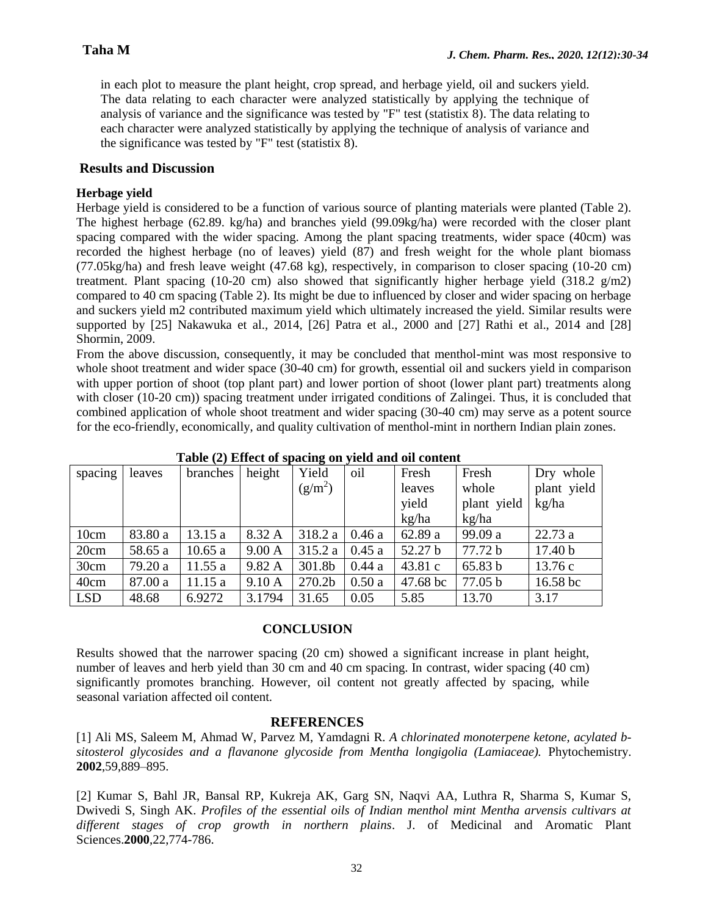in each plot to measure the plant height, crop spread, and herbage yield, oil and suckers yield. The data relating to each character were analyzed statistically by applying the technique of analysis of variance and the significance was tested by "F" test (statistix 8). The data relating to each character were analyzed statistically by applying the technique of analysis of variance and the significance was tested by "F" test (statistix 8).

#### **Results and Discussion**

#### **Herbage yield**

Herbage yield is considered to be a function of various source of planting materials were planted (Table 2). The highest herbage (62.89. kg/ha) and branches yield (99.09kg/ha) were recorded with the closer plant spacing compared with the wider spacing. Among the plant spacing treatments, wider space (40cm) was recorded the highest herbage (no of leaves) yield (87) and fresh weight for the whole plant biomass (77.05kg/ha) and fresh leave weight (47.68 kg), respectively, in comparison to closer spacing (10-20 cm) treatment. Plant spacing (10-20 cm) also showed that significantly higher herbage yield (318.2  $g/m2$ ) compared to 40 cm spacing (Table 2). Its might be due to influenced by closer and wider spacing on herbage and suckers yield m2 contributed maximum yield which ultimately increased the yield. Similar results were supported by [25] Nakawuka et al., 2014, [26] Patra et al., 2000 and [27] Rathi et al., 2014 and [28] Shormin, 2009.

From the above discussion, consequently, it may be concluded that menthol-mint was most responsive to whole shoot treatment and wider space (30-40 cm) for growth, essential oil and suckers yield in comparison with upper portion of shoot (top plant part) and lower portion of shoot (lower plant part) treatments along with closer (10-20 cm)) spacing treatment under irrigated conditions of Zalingei. Thus, it is concluded that combined application of whole shoot treatment and wider spacing (30-40 cm) may serve as a potent source for the eco-friendly, economically, and quality cultivation of menthol-mint in northern Indian plain zones.

| spacing    | leaves  | branches | height | Yield     | oil   | Fresh    | Fresh       | Dry whole          |  |  |
|------------|---------|----------|--------|-----------|-------|----------|-------------|--------------------|--|--|
|            |         |          |        | $(g/m^2)$ |       | leaves   | whole       | plant yield        |  |  |
|            |         |          |        |           |       | yield    | plant yield | kg/ha              |  |  |
|            |         |          |        |           |       | kg/ha    | kg/ha       |                    |  |  |
| 10cm       | 83.80 a | 13.15 a  | 8.32 A | 318.2 a   | 0.46a | 62.89 a  | 99.09 a     | 22.73 a            |  |  |
| 20cm       | 58.65 a | 10.65a   | 9.00 A | 315.2 a   | 0.45a | 52.27 b  | 77.72 b     | 17.40 <sub>b</sub> |  |  |
| 30cm       | 79.20 a | 11.55a   | 9.82 A | 301.8b    | 0.44a | 43.81c   | 65.83 b     | 13.76 c            |  |  |
| 40cm       | 87.00 a | 11.15a   | 9.10A  | 270.2b    | 0.50a | 47.68 bc | 77.05 b     | $16.58$ bc         |  |  |
| <b>LSD</b> | 48.68   | 6.9272   | 3.1794 | 31.65     | 0.05  | 5.85     | 13.70       | 3.17               |  |  |

 **Table (2) Effect of spacing on yield and oil content**

## **CONCLUSION**

Results showed that the narrower spacing (20 cm) showed a significant increase in plant height, number of leaves and herb yield than 30 cm and 40 cm spacing. In contrast, wider spacing (40 cm) significantly promotes branching. However, oil content not greatly affected by spacing, while seasonal variation affected oil content.

#### **REFERENCES**

[1] Ali MS, Saleem M, Ahmad W, Parvez M, Yamdagni R. *A chlorinated monoterpene ketone, acylated bsitosterol glycosides and a flavanone glycoside from Mentha longigolia (Lamiaceae).* Phytochemistry. **2002**,59,889–895.

[2] Kumar S, Bahl JR, Bansal RP, Kukreja AK, Garg SN, Naqvi AA, Luthra R, Sharma S, Kumar S, Dwivedi S, Singh AK. *Profiles of the essential oils of Indian menthol mint Mentha arvensis cultivars at different stages of crop growth in northern plains*. J. of Medicinal and Aromatic Plant Sciences.**2000**,22,774-786.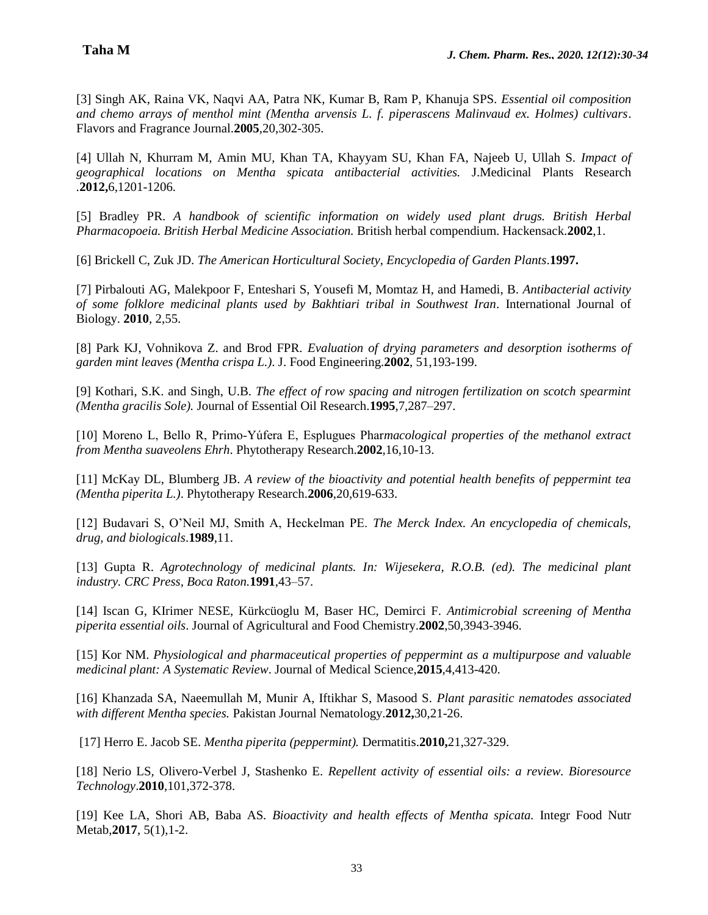[3] Singh AK, Raina VK, Naqvi AA, Patra NK, Kumar B, Ram P, Khanuja SPS. *Essential oil composition and chemo arrays of menthol mint (Mentha arvensis L. f. piperascens Malinvaud ex. Holmes) cultivars*. Flavors and Fragrance Journal.**2005**,20,302-305.

[4] Ullah N, Khurram M, Amin MU, Khan TA, Khayyam SU, Khan FA, Najeeb U, Ullah S. *Impact of geographical locations on Mentha spicata antibacterial activities.* J.Medicinal Plants Research *.***2012,**6,1201-1206.

[5] Bradley PR. *A handbook of scientific information on widely used plant drugs. British Herbal Pharmacopoeia. British Herbal Medicine Association.* British herbal compendium. Hackensack.**2002**,1.

[6] Brickell C, Zuk JD. *The American Horticultural Society, Encyclopedia of Garden Plants*.**1997.**

[7] Pirbalouti AG, Malekpoor F, Enteshari S, Yousefi M, Momtaz H, and Hamedi, B. *Antibacterial activity of some folklore medicinal plants used by Bakhtiari tribal in Southwest Iran*. International Journal of Biology. **2010**, 2,55.

[8] Park KJ, Vohnikova Z. and Brod FPR. *Evaluation of drying parameters and desorption isotherms of garden mint leaves (Mentha crispa L.)*. J. Food Engineering.**2002**, 51,193-199.

[9] Kothari, S.K. and Singh, U.B. *The effect of row spacing and nitrogen fertilization on scotch spearmint (Mentha gracilis Sole).* Journal of Essential Oil Research.**1995**,7,287–297.

[10] Moreno L, Bello R, Primo‐Yúfera E, Esplugues Phar*macological properties of the methanol extract from Mentha suaveolens Ehrh*. Phytotherapy Research.**2002**,16,10-13.

[11] McKay DL, Blumberg JB. *A review of the bioactivity and potential health benefits of peppermint tea (Mentha piperita L.)*. Phytotherapy Research.**2006**,20,619-633.

[12] Budavari S, O'Neil MJ, Smith A, Heckelman PE. *The Merck Index. An encyclopedia of chemicals, drug, and biologicals*.**1989**,11.

[13] Gupta R. *Agrotechnology of medicinal plants. In: Wijesekera, R.O.B. (ed). The medicinal plant industry. CRC Press, Boca Raton.***1991**,43–57.

[14] Iscan G, KIrimer NESE, Kürkcüoglu M, Baser HC, Demirci F. *Antimicrobial screening of Mentha piperita essential oils*. Journal of Agricultural and Food Chemistry.**2002**,50,3943-3946.

[15] Kor NM. *Physiological and pharmaceutical properties of peppermint as a multipurpose and valuable medicinal plant: A Systematic Review*. Journal of Medical Science,**2015**,4,413-420.

[16] Khanzada SA, Naeemullah M, Munir A, Iftikhar S, Masood S. *Plant parasitic nematodes associated with different Mentha species.* Pakistan Journal Nematology.**2012,**30,21-26.

[17] Herro E. Jacob SE. *Mentha piperita (peppermint).* Dermatitis.**2010,**21,327-329.

[18] Nerio LS, Olivero-Verbel J, Stashenko E. *Repellent activity of essential oils: a review. Bioresource Technology*.**2010**,101,372-378.

[19] Kee LA, Shori AB, Baba AS*. Bioactivity and health effects of Mentha spicata.* Integr Food Nutr Metab,**2017**, 5(1),1-2.